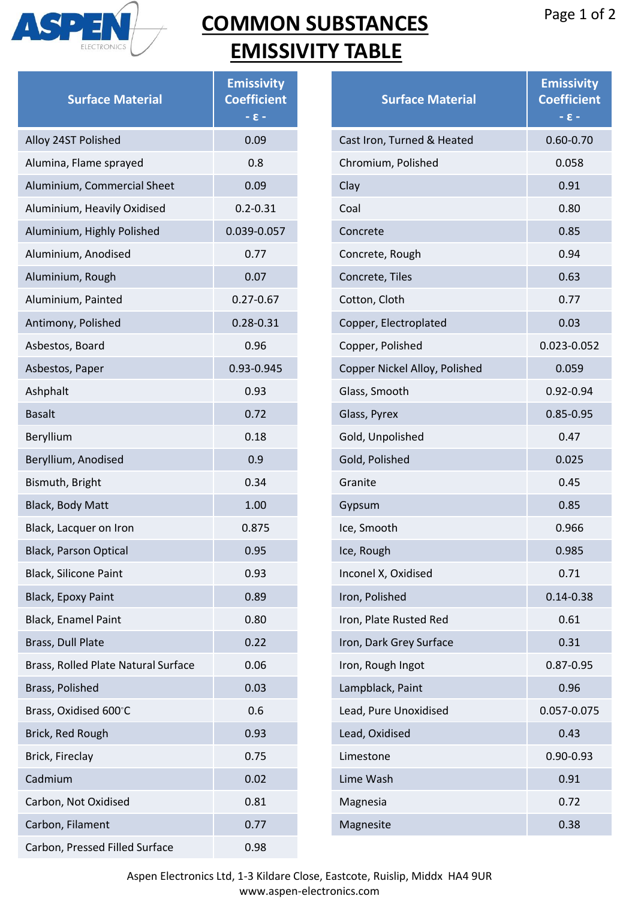

**Surface Material**

Alloy 24ST Polished 0.09

Alumina, Flame sprayed 6.8 Aluminium, Commercial Sheet 0.09

Aluminium, Heavily Oxidised 0.2-0.31

Aluminium, Anodised 0.77 Aluminium, Rough **1988** CON

Aluminium, Painted 0.27-0.67

Antimony, Polished 0.28-0.31

Asbestos, Paper 0.93-0.945

Asbestos, Board 0.96

Ashphalt 0.93 Basalt **David Basalt** 2.72 Beryllium 0.18 Beryllium, Anodised **0.9** 0.9 Bismuth, Bright 6.34 Black, Body Matt 1.00

Black, Lacquer on Iron **1998** 0.875 Black, Parson Optical 0.95 Black, Silicone Paint 0.93 Black, Epoxy Paint 0.89 Black, Enamel Paint 0.80

Brass, Dull Plate **0.22** Brass, Rolled Plate Natural Surface 0.06 Brass, Polished 0.03

Brass, Oxidised 600℃ 0.6 Brick, Red Rough **Data Contact Contact Contact Contact Contact Contact Contact Contact Contact Contact Contact** 

Brick, Fireclay **Data Control** Control Control Control Control Control Control Control Control Control Control Control Control Control Control Control Control Control Control Control Control Control Control Control Control Cadmium 0.02 Carbon, Not Oxidised 0.81

Carbon, Filament **Carbon**, Filament

Aluminium, Highly Polished 0.039-0.057

## **COMMON SUBSTA EMISSIVITY TAE**

**Emissivity Coefficient - ɛ -**

| <b>3STANCES</b><br><b>TABLE</b> | Page 1 of 2                                      |
|---------------------------------|--------------------------------------------------|
| <b>Surface Material</b>         | <b>Emissivity</b><br><b>Coefficient</b><br>$-8-$ |
| Cast Iron, Turned & Heated      | $0.60 - 0.70$                                    |
| Chromium, Polished              | 0.058                                            |
| Clay                            | 0.91                                             |
| Coal                            | 0.80                                             |
| Concrete                        | 0.85                                             |
| Concrete, Rough                 | 0.94                                             |
| Concrete, Tiles                 | 0.63                                             |
| Cotton, Cloth                   | 0.77                                             |
| Copper, Electroplated           | 0.03                                             |
| Copper, Polished                | 0.023-0.052                                      |
| Copper Nickel Alloy, Polished   | 0.059                                            |
| Glass, Smooth                   | 0.92-0.94                                        |
| Glass, Pyrex                    | $0.85 - 0.95$                                    |
| Gold, Unpolished                | 0.47                                             |
| Gold, Polished                  | 0.025                                            |
| Granite                         | 0.45                                             |
| Gypsum                          | 0.85                                             |
| Ice, Smooth                     | 0.966                                            |
| Ice, Rough                      | 0.985                                            |
| Inconel X, Oxidised             | 0.71                                             |
| Iron, Polished                  | $0.14 - 0.38$                                    |
| Iron, Plate Rusted Red          | 0.61                                             |
| Iron, Dark Grey Surface         | 0.31                                             |
| Iron, Rough Ingot               | 0.87-0.95                                        |
| Lampblack, Paint                | 0.96                                             |
| Lead, Pure Unoxidised           | 0.057-0.075                                      |

Lead, Oxidised **Department Control** Co.43

Lime Wash 0.91 Magnesia 0.72

Magnesite 0.38

Limestone 0.90-0.93

Carbon, Pressed Filled Surface 0.98 Aspen Electronics Ltd, 1-3 Kildare Close, Eastcote, Ruislip, Middx HA4 9UR www.aspen-electronics.com